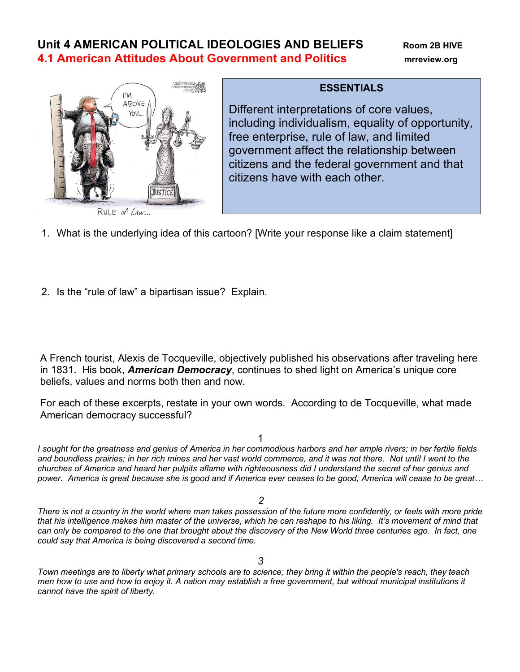# **Unit 4 AMERICAN POLITICAL IDEOLOGIES AND BELIEFS Room 2B HIVE 4.1 American Attitudes About Government and Politics mrreview.org**



### **ESSENTIALS**

Different interpretations of core values, including individualism, equality of opportunity, free enterprise, rule of law, and limited government affect the relationship between citizens and the federal government and that citizens have with each other.

- 1. What is the underlying idea of this cartoon? [Write your response like a claim statement]
- 2. Is the "rule of law" a bipartisan issue? Explain.

A French tourist, Alexis de Tocqueville, objectively published his observations after traveling here in 1831. His book, *American Democracy*, continues to shed light on America's unique core beliefs, values and norms both then and now.

For each of these excerpts, restate in your own words. According to de Tocqueville, what made American democracy successful?

1

*I sought for the greatness and genius of America in her commodious harbors and her ample rivers; in her fertile fields and boundless prairies; in her rich mines and her vast world commerce, and it was not there. Not until I went to the churches of America and heard her pulpits aflame with righteousness did I understand the secret of her genius and power. America is great because she is good and if America ever ceases to be good, America will cease to be great…*

*2*

*There is not a country in the world where man takes possession of the future more confidently, or feels with more pride that his intelligence makes him master of the universe, which he can reshape to his liking. It's movement of mind that can only be compared to the one that brought about the discovery of the New World three centuries ago. In fact, one could say that America is being discovered a second time.*

*Town meetings are to liberty what primary schools are to science; they bring it within the people's reach, they teach men how to use and how to enjoy it. A nation may establish a free government, but without municipal institutions it cannot have the spirit of liberty.*